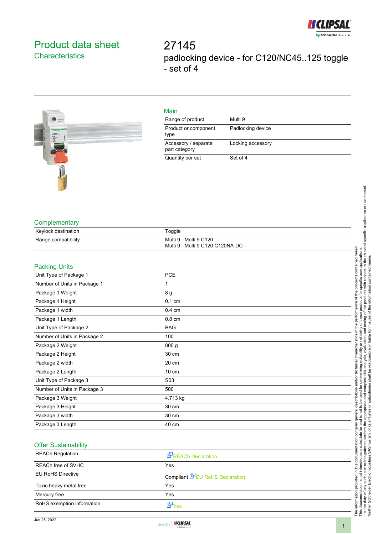

# <span id="page-0-0"></span>Product data sheet **Characteristics**

27145 padlocking device - for C120/NC45..125 toggle - set of 4



## Main

| Range of product                      | Multi 9           |
|---------------------------------------|-------------------|
| Product or component<br>type          | Padlocking device |
| Accessory / separate<br>part category | Locking accessory |
| Quantity per set                      | Set of 4          |

#### **Complementary**

| Keylock destination | Toggle                             |
|---------------------|------------------------------------|
| Range compatibility | Multi 9 - Multi 9 C120             |
|                     | Multi 9 - Multi 9 C120 C120NA-DC - |

#### Packing Units

| <b>PCE</b>       |
|------------------|
| 1                |
| 8 g              |
| $0.1 \text{ cm}$ |
| $0.4 \text{ cm}$ |
| $0.8 \text{ cm}$ |
| <b>BAG</b>       |
| 100              |
| 800 g            |
| 30 cm            |
| 20 cm            |
| 10 cm            |
| S <sub>0</sub> 3 |
| 500              |
| 4.713 kg         |
| 30 cm            |
| 30 cm            |
| 40 cm            |
|                  |

### Offer Sustainability

| <b>REACh Regulation</b>    | <b>REACh Declaration</b>               |
|----------------------------|----------------------------------------|
| REACh free of SVHC         | Yes                                    |
| <b>EU RoHS Directive</b>   | Compliant <b>E</b> EU RoHS Declaration |
| Toxic heavy metal free     | Yes                                    |
| Mercury free               | Yes                                    |
| RoHS exemption information | ⊻ Yes                                  |

It is the duty of any such user or integrator to perform the appropriate and complete risk analysis, evaluation and testing of the products with respect to the relevant specific application or use thereof.

Neither Schneider Electric Industries SAS nor any of its affiliates or subsidiaries shall be responsible or liable for misuse of the information contained herein.